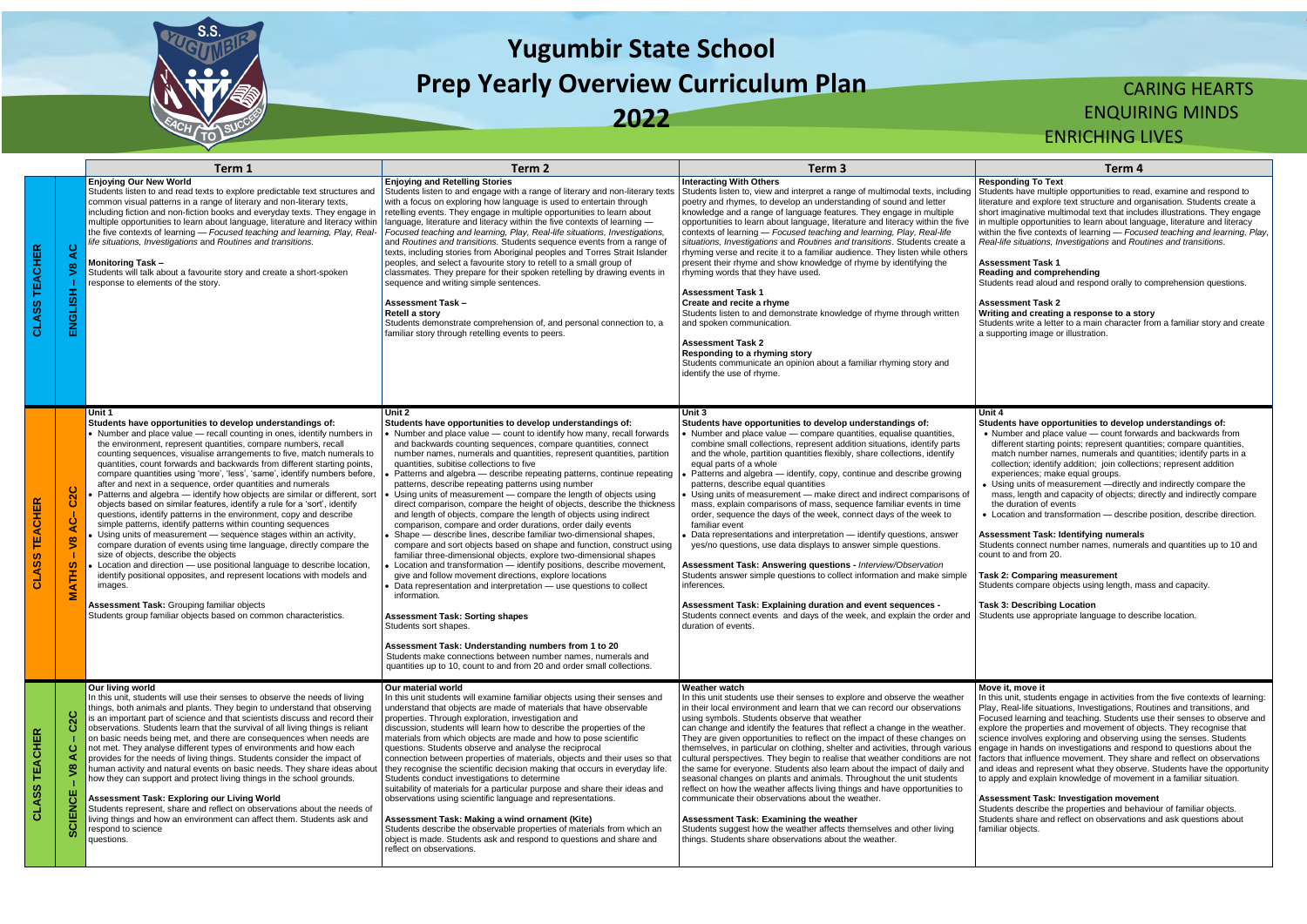

# **Yugumbir State School Prep Yearly Overview Curriculum Plan**

**2022**

## CARING HEARTS ENQUIRING MINDS ENRICHING LIVES

udents have multiple opportunities to read, examine and respond to erature and explore text structure and organisation. Students create a ort imaginative multimodal text that includes illustrations. They engage multiple opportunities to learn about language, literature and literacy thin the five contexts of learning — *Focused teaching and learning, Play, Real-life situations, Investigations* and *Routines and transitions*.

#### **Responding To Text**

#### **Assessment Task 1**

udents read aloud and respond orally to comprehension questions.

#### **Assessment Task 2**

#### **Writing and creating a response to a story**

udents write a letter to a main character from a familiar story and create supporting image or illustration.

| ≃<br>ш<br>Õ<br>ပ္တ<br>تح<br>کا | $\circ$<br>$\blacktriangleleft$<br>$\boldsymbol{\mathsf{s}}$<br>ENGLISH                                               | Term 1<br><b>Enjoying Our New World</b><br>Students listen to and read texts to explore predictable text structures and<br>common visual patterns in a range of literary and non-literary texts,<br>including fiction and non-fiction books and everyday texts. They engage in<br>multiple opportunities to learn about language, literature and literacy within<br>the five contexts of learning - Focused teaching and learning, Play, Real-<br>life situations, Investigations and Routines and transitions.<br><b>Monitoring Task-</b><br>Students will talk about a favourite story and create a short-spoken<br>response to elements of the story.                                                                                                                                                                                                                                                                                                                                                                                                                                                                                                                                                                                                                                 | Term 2<br><b>Enjoying and Retelling Stories</b><br>Students listen to and engage with a range of literary and non-literary texts<br>with a focus on exploring how language is used to entertain through<br>retelling events. They engage in multiple opportunities to learn about<br>language, literature and literacy within the five contexts of learning -<br>Focused teaching and learning, Play, Real-life situations, Investigations,<br>and Routines and transitions. Students sequence events from a range of<br>texts, including stories from Aboriginal peoples and Torres Strait Islander<br>peoples, and select a favourite story to retell to a small group of<br>classmates. They prepare for their spoken retelling by drawing events in<br>sequence and writing simple sentences.<br><b>Assessment Task-</b><br>Retell a story<br>Students demonstrate comprehension of, and personal connection to, a<br>familiar story through retelling events to peers.                                                                                                                                                                                                                                                                                                                                                                                                                                                                                               | Term 3<br><b>Interacting With Others</b><br>Students listen to, view and interpret a range of multimodal texts, including<br>poetry and rhymes, to develop an understanding of sound and letter<br>knowledge and a range of language features. They engage in multiple<br>opportunities to learn about language, literature and literacy within the five<br>contexts of learning - Focused teaching and learning, Play, Real-life<br>situations, Investigations and Routines and transitions. Students create a<br>rhyming verse and recite it to a familiar audience. They listen while others<br>present their rhyme and show knowledge of rhyme by identifying the<br>rhyming words that they have used.<br><b>Assessment Task 1</b><br>Create and recite a rhyme<br>Students listen to and demonstrate knowledge of rhyme through written<br>and spoken communication.<br><b>Assessment Task 2</b><br><b>Responding to a rhyming story</b><br>Students communicate an opinion about a familiar rhyming story and<br>identify the use of rhyme.                                                                                                      | Term 4<br><b>Responding To Text</b><br>Students have multiple opportunities to rea<br>literature and explore text structure and or<br>short imaginative multimodal text that inclu<br>in multiple opportunities to learn about lang<br>within the five contexts of learning - Focu<br>Real-life situations, Investigations and Ro<br><b>Assessment Task 1</b><br>Reading and comprehending<br>Students read aloud and respond orally to<br><b>Assessment Task 2</b><br>Writing and creating a response to a ste<br>Students write a letter to a main character<br>a supporting image or illustration.                                                                                                       |
|--------------------------------|-----------------------------------------------------------------------------------------------------------------------|------------------------------------------------------------------------------------------------------------------------------------------------------------------------------------------------------------------------------------------------------------------------------------------------------------------------------------------------------------------------------------------------------------------------------------------------------------------------------------------------------------------------------------------------------------------------------------------------------------------------------------------------------------------------------------------------------------------------------------------------------------------------------------------------------------------------------------------------------------------------------------------------------------------------------------------------------------------------------------------------------------------------------------------------------------------------------------------------------------------------------------------------------------------------------------------------------------------------------------------------------------------------------------------|---------------------------------------------------------------------------------------------------------------------------------------------------------------------------------------------------------------------------------------------------------------------------------------------------------------------------------------------------------------------------------------------------------------------------------------------------------------------------------------------------------------------------------------------------------------------------------------------------------------------------------------------------------------------------------------------------------------------------------------------------------------------------------------------------------------------------------------------------------------------------------------------------------------------------------------------------------------------------------------------------------------------------------------------------------------------------------------------------------------------------------------------------------------------------------------------------------------------------------------------------------------------------------------------------------------------------------------------------------------------------------------------------------------------------------------------------------------------------|---------------------------------------------------------------------------------------------------------------------------------------------------------------------------------------------------------------------------------------------------------------------------------------------------------------------------------------------------------------------------------------------------------------------------------------------------------------------------------------------------------------------------------------------------------------------------------------------------------------------------------------------------------------------------------------------------------------------------------------------------------------------------------------------------------------------------------------------------------------------------------------------------------------------------------------------------------------------------------------------------------------------------------------------------------------------------------------------------------------------------------------------------------|-------------------------------------------------------------------------------------------------------------------------------------------------------------------------------------------------------------------------------------------------------------------------------------------------------------------------------------------------------------------------------------------------------------------------------------------------------------------------------------------------------------------------------------------------------------------------------------------------------------------------------------------------------------------------------------------------------------|
| ⊞<br>To                        | $\overline{2}C$<br>$\mathbf C$<br>$\ddot{\mathbf{C}}$<br>$\blacktriangleleft$<br>$\sqrt{8}$<br>-1<br><b>ATHS</b><br>Σ | Unit 1<br>Students have opportunities to develop understandings of:<br>• Number and place value - recall counting in ones, identify numbers in<br>the environment, represent quantities, compare numbers, recall<br>counting sequences, visualise arrangements to five, match numerals to<br>quantities, count forwards and backwards from different starting points,<br>compare quantities using 'more', 'less', 'same', identify numbers before,<br>after and next in a sequence, order quantities and numerals<br>Patterns and algebra - identify how objects are similar or different, sort<br>objects based on similar features, identify a rule for a 'sort', identify<br>questions, identify patterns in the environment, copy and describe<br>simple patterns, identify patterns within counting sequences<br>Using units of measurement - sequence stages within an activity,<br>compare duration of events using time language, directly compare the<br>size of objects, describe the objects<br>Location and direction - use positional language to describe location,<br>identify positional opposites, and represent locations with models and<br>images.<br>Assessment Task: Grouping familiar objects<br>Students group familiar objects based on common characteristics. | Unit 2<br>Students have opportunities to develop understandings of:<br>• Number and place value - count to identify how many, recall forwards<br>and backwards counting sequences, compare quantities, connect<br>number names, numerals and quantities, represent quantities, partition<br>quantities, subitise collections to five<br>Patterns and algebra - describe repeating patterns, continue repeating<br>patterns, describe repeating patterns using number<br>Using units of measurement - compare the length of objects using<br>direct comparison, compare the height of objects, describe the thickness<br>and length of objects, compare the length of objects using indirect<br>comparison, compare and order durations, order daily events<br>Shape - describe lines, describe familiar two-dimensional shapes,<br>compare and sort objects based on shape and function, construct using<br>familiar three-dimensional objects, explore two-dimensional shapes<br>Location and transformation - identify positions, describe movement,<br>give and follow movement directions, explore locations<br>Data representation and interpretation - use questions to collect<br>information.<br><b>Assessment Task: Sorting shapes</b><br>Students sort shapes.<br>Assessment Task: Understanding numbers from 1 to 20<br>Students make connections between number names, numerals and<br>quantities up to 10, count to and from 20 and order small collections. | Unit 3<br>Students have opportunities to develop understandings of:<br>• Number and place value - compare quantities, equalise quantities,<br>combine small collections, represent addition situations, identify parts<br>and the whole, partition quantities flexibly, share collections, identify<br>equal parts of a whole<br>Patterns and algebra - identify, copy, continue and describe growing<br>patterns, describe equal quantities<br>Using units of measurement - make direct and indirect comparisons of<br>mass, explain comparisons of mass, sequence familiar events in time<br>order, sequence the days of the week, connect days of the week to<br>familiar event<br>Data representations and interpretation - identify questions, answer<br>yes/no questions, use data displays to answer simple questions.<br>Assessment Task: Answering questions - Interview/Observation<br>Students answer simple questions to collect information and make simple<br>inferences.<br>Assessment Task: Explaining duration and event sequences -<br>Students connect events and days of the week, and explain the order and<br>duration of events. | Unit 4<br>Students have opportunities to develop<br>• Number and place value - count forw<br>different starting points; represent quare<br>match number names, numerals and q<br>collection; identify addition; join collect<br>experiences; make equal groups.<br>• Using units of measurement - directly<br>mass, length and capacity of objects; c<br>the duration of events<br>• Location and transformation - describ<br>Assessment Task: Identifying numerals<br>Students connect number names, numera<br>count to and from 20.<br><b>Task 2: Comparing measurement</b><br>Students compare objects using length, m<br><b>Task 3: Describing Location</b><br>Students use appropriate language to des |
| Õ                              | $\overline{c}$<br>ە<br>ပ<br>⋖<br>$\overline{\mathbf{S}}$<br>CIENCE<br>ശ                                               | Our living world<br>In this unit, students will use their senses to observe the needs of living<br>things, both animals and plants. They begin to understand that observing<br>is an important part of science and that scientists discuss and record their<br>observations. Students learn that the survival of all living things is reliant<br>on basic needs being met, and there are consequences when needs are<br>not met. They analyse different types of environments and how each<br>provides for the needs of living things. Students consider the impact of<br>human activity and natural events on basic needs. They share ideas about<br>how they can support and protect living things in the school grounds.<br>Assessment Task: Exploring our Living World<br>Students represent, share and reflect on observations about the needs of<br>living things and how an environment can affect them. Students ask and<br>respond to science<br>questions.                                                                                                                                                                                                                                                                                                                     | Our material world<br>In this unit students will examine familiar objects using their senses and<br>understand that objects are made of materials that have observable<br>properties. Through exploration, investigation and<br>discussion, students will learn how to describe the properties of the<br>materials from which objects are made and how to pose scientific<br>questions. Students observe and analyse the reciprocal<br>connection between properties of materials, objects and their uses so that<br>they recognise the scientific decision making that occurs in everyday life.<br>Students conduct investigations to determine<br>suitability of materials for a particular purpose and share their ideas and<br>observations using scientific language and representations.<br>Assessment Task: Making a wind ornament (Kite)<br>Students describe the observable properties of materials from which an<br>object is made. Students ask and respond to questions and share and<br>reflect on observations.                                                                                                                                                                                                                                                                                                                                                                                                                                             | <b>Weather watch</b><br>In this unit students use their senses to explore and observe the weather<br>in their local environment and learn that we can record our observations<br>using symbols. Students observe that weather<br>can change and identify the features that reflect a change in the weather.<br>They are given opportunities to reflect on the impact of these changes on<br>themselves, in particular on clothing, shelter and activities, through various<br>cultural perspectives. They begin to realise that weather conditions are not<br>the same for everyone. Students also learn about the impact of daily and<br>seasonal changes on plants and animals. Throughout the unit students<br>reflect on how the weather affects living things and have opportunities to<br>communicate their observations about the weather.<br>Assessment Task: Examining the weather<br>Students suggest how the weather affects themselves and other living<br>things. Students share observations about the weather.                                                                                                                           | Move it, move it<br>In this unit, students engage in activities fr<br>Play, Real-life situations, Investigations, R<br>Focused learning and teaching. Students<br>explore the properties and movement of o<br>science involves exploring and observing<br>engage in hands on investigations and res<br>factors that influence movement. They sha<br>and ideas and represent what they observ<br>to apply and explain knowledge of movem<br><b>Assessment Task: Investigation moven</b><br>Students describe the properties and beha<br>Students share and reflect on observation<br>familiar objects.                                                                                                       |

#### **Unit 4**

#### **Students have opportunities to develop understandings of:**

- Number and place value count forwards and backwards from different starting points; represent quantities; compare quantities, match number names, numerals and quantities; identify parts in a collection; identify addition; join collections; represent addition experiences; make equal groups.
- Using units of measurement —directly and indirectly compare the mass, length and capacity of objects; directly and indirectly compare the duration of events
- Location and transformation describe position, describe direction.

#### **Assessment Task: Identifying numerals**

udents connect number names, numerals and quantities up to 10 and unt to and from 20.

#### **Task 2: Comparing measurement**

udents compare objects using length, mass and capacity.

#### **Task 3: Describing Location**

udents use appropriate language to describe location.

#### **Move it, move it**

this unit, students engage in activities from the five contexts of learning: ay, Real-life situations, Investigations, Routines and transitions, and cused learning and teaching. Students use their senses to observe and plore the properties and movement of objects. They recognise that ience involves exploring and observing using the senses. Students gage in hands on investigations and respond to questions about the cors that influence movement. They share and reflect on observations and ideas and represent what they observe. Students have the opportunity apply and explain knowledge of movement in a familiar situation.

#### **Assessment Task: Investigation movement**

udents describe the properties and behaviour of familiar objects. udents share and reflect on observations and ask questions about miliar objects.